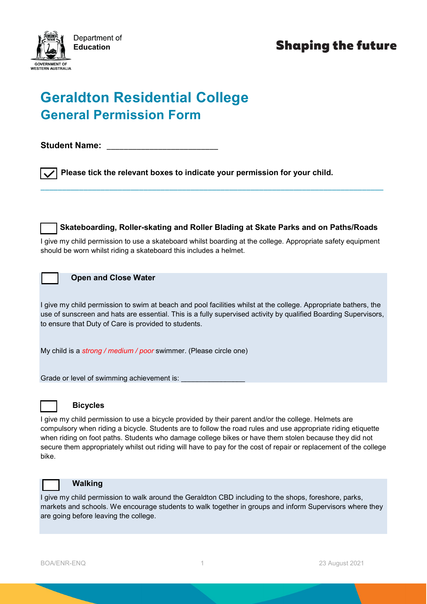

# **Shaping the future**

# **Geraldton Residential College General Permission Form**

**Student Name:** 

**Please tick the relevant boxes to indicate your permission for your child.**

 **Skateboarding, Roller-skating and Roller Blading at Skate Parks and on Paths/Roads**

I give my child permission to use a skateboard whilst boarding at the college. Appropriate safety equipment should be worn whilst riding a skateboard this includes a helmet.

\_\_\_\_\_\_\_\_\_\_\_\_\_\_\_\_\_\_\_\_\_\_\_\_\_\_\_\_\_\_\_\_\_\_\_\_\_\_\_\_\_\_\_\_\_\_\_\_\_\_\_\_\_\_\_\_\_\_\_\_\_\_\_\_\_\_\_\_\_\_\_\_\_\_\_\_\_\_\_\_

## **Open and Close Water**

I give my child permission to swim at beach and pool facilities whilst at the college. Appropriate bathers, the use of sunscreen and hats are essential. This is a fully supervised activity by qualified Boarding Supervisors, to ensure that Duty of Care is provided to students.

My child is a *strong / medium / poor* swimmer. (Please circle one)

Grade or level of swimming achievement is:



# **Bicycles**

I give my child permission to use a bicycle provided by their parent and/or the college. Helmets are compulsory when riding a bicycle. Students are to follow the road rules and use appropriate riding etiquette when riding on foot paths. Students who damage college bikes or have them stolen because they did not secure them appropriately whilst out riding will have to pay for the cost of repair or replacement of the college bike.



#### **Walking**

I give my child permission to walk around the Geraldton CBD including to the shops, foreshore, parks, markets and schools. We encourage students to walk together in groups and inform Supervisors where they are going before leaving the college.